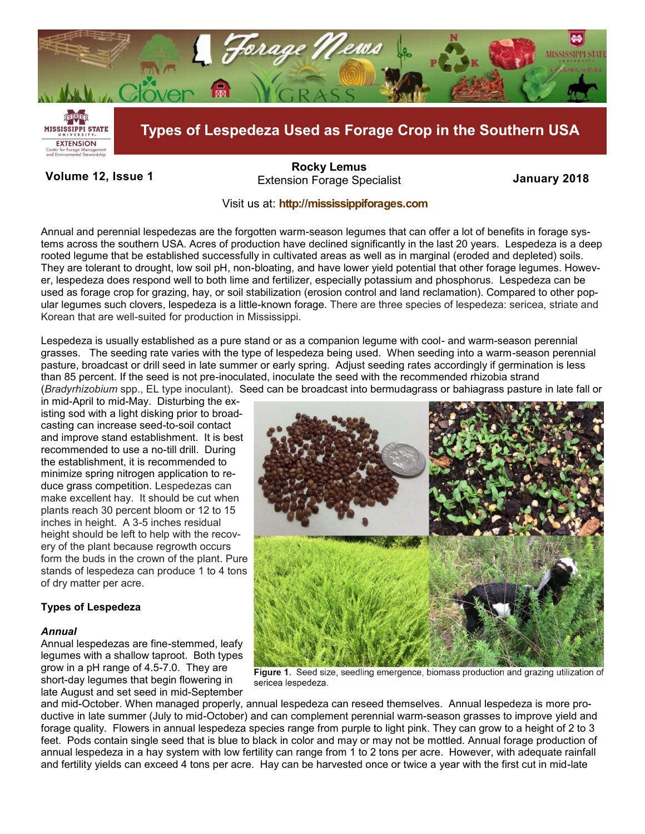

# **Volume 12, Issue 1 January 2018** Extension Forage Specialist **[Rocky Lemus](mailto:RLemus@ext.msstate.edu?subject=Forage%20News:%20Janaury%202011)**

## Visit us at: **<http://mississippiforages.com>**

Annual and perennial lespedezas are the forgotten warm-season legumes that can offer a lot of benefits in forage systems across the southern USA. Acres of production have declined significantly in the last 20 years. Lespedeza is a deep rooted legume that be established successfully in cultivated areas as well as in marginal (eroded and depleted) soils. They are tolerant to drought, low soil pH, non-bloating, and have lower yield potential that other forage legumes. However, lespedeza does respond well to both lime and fertilizer, especially potassium and phosphorus. Lespedeza can be used as forage crop for grazing, hay, or soil stabilization (erosion control and land reclamation). Compared to other popular legumes such clovers, lespedeza is a little-known forage. There are three species of lespedeza: sericea, striate and Korean that are well-suited for production in Mississippi.

Lespedeza is usually established as a pure stand or as a companion legume with cool- and warm-season perennial grasses. The seeding rate varies with the type of lespedeza being used. When seeding into a warm-season perennial pasture, broadcast or drill seed in late summer or early spring. Adjust seeding rates accordingly if germination is less than 85 percent. If the seed is not pre-inoculated, inoculate the seed with the recommended rhizobia strand (*Bradyrhizobium* spp., EL type inoculant). Seed can be broadcast into bermudagrass or bahiagrass pasture in late fall or

in mid-April to mid-May. Disturbing the existing sod with a light disking prior to broadcasting can increase seed-to-soil contact and improve stand establishment. It is best recommended to use a no-till drill. During the establishment, it is recommended to minimize spring nitrogen application to reduce grass competition. Lespedezas can make excellent hay. It should be cut when plants reach 30 percent bloom or 12 to 15 inches in height. A 3-5 inches residual height should be left to help with the recovery of the plant because regrowth occurs form the buds in the crown of the plant. Pure stands of lespedeza can produce 1 to 4 tons of dry matter per acre.

## **Types of Lespedeza**

## *Annual*

Annual lespedezas are fine-stemmed, leafy legumes with a shallow taproot. Both types grow in a pH range of 4.5-7.0. They are short-day legumes that begin flowering in late August and set seed in mid-September



Figure 1. Seed size, seedling emergence, biomass production and grazing utilization of sericea lespedeza.

and mid-October. When managed properly, annual lespedeza can reseed themselves. Annual lespedeza is more productive in late summer (July to mid-October) and can complement perennial warm-season grasses to improve yield and forage quality. Flowers in annual lespedeza species range from purple to light pink. They can grow to a height of 2 to 3 feet. Pods contain single seed that is blue to black in color and may or may not be mottled. Annual forage production of annual lespedeza in a hay system with low fertility can range from 1 to 2 tons per acre. However, with adequate rainfall and fertility yields can exceed 4 tons per acre. Hay can be harvested once or twice a year with the first cut in mid-late